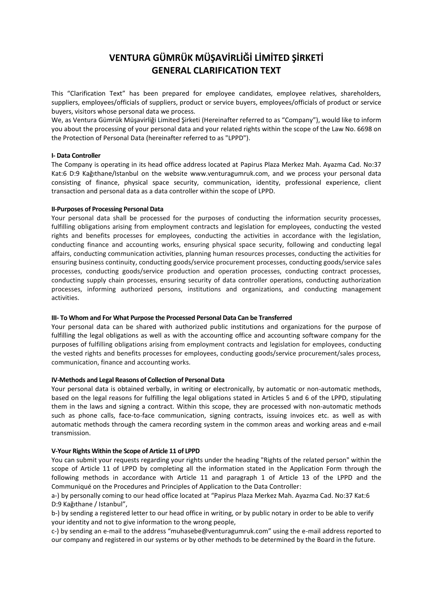# **VENTURA GÜMRÜK MÜŞAVİRLİĞİ LİMİTED ŞİRKETİ GENERAL CLARIFICATION TEXT**

This "Clarification Text" has been prepared for employee candidates, employee relatives, shareholders, suppliers, employees/officials of suppliers, product or service buyers, employees/officials of product or service buyers, visitors whose personal data we process.

We, as Ventura Gümrük Müşavirliği Limited Şirketi (Hereinafter referred to as "Company"), would like to inform you about the processing of your personal data and your related rights within the scope of the Law No. 6698 on the Protection of Personal Data (hereinafter referred to as "LPPD").

#### **I- Data Controller**

The Company is operating in its head office address located at Papirus Plaza Merkez Mah. Ayazma Cad. No:37 Kat:6 D:9 Kağıthane/Istanbul on the website www.venturagumruk.com, and we process your personal data consisting of finance, physical space security, communication, identity, professional experience, client transaction and personal data as a data controller within the scope of LPPD.

#### **II-Purposes of Processing Personal Data**

Your personal data shall be processed for the purposes of conducting the information security processes, fulfilling obligations arising from employment contracts and legislation for employees, conducting the vested rights and benefits processes for employees, conducting the activities in accordance with the legislation, conducting finance and accounting works, ensuring physical space security, following and conducting legal affairs, conducting communication activities, planning human resources processes, conducting the activities for ensuring business continuity, conducting goods/service procurement processes, conducting goods/service sales processes, conducting goods/service production and operation processes, conducting contract processes, conducting supply chain processes, ensuring security of data controller operations, conducting authorization processes, informing authorized persons, institutions and organizations, and conducting management activities.

## **III- To Whom and For What Purpose the Processed Personal Data Can be Transferred**

Your personal data can be shared with authorized public institutions and organizations for the purpose of fulfilling the legal obligations as well as with the accounting office and accounting software company for the purposes of fulfilling obligations arising from employment contracts and legislation for employees, conducting the vested rights and benefits processes for employees, conducting goods/service procurement/sales process, communication, finance and accounting works.

## **IV-Methods and Legal Reasons of Collection of Personal Data**

Your personal data is obtained verbally, in writing or electronically, by automatic or non-automatic methods, based on the legal reasons for fulfilling the legal obligations stated in Articles 5 and 6 of the LPPD, stipulating them in the laws and signing a contract. Within this scope, they are processed with non-automatic methods such as phone calls, face-to-face communication, signing contracts, issuing invoices etc. as well as with automatic methods through the camera recording system in the common areas and working areas and e-mail transmission.

## **V-Your Rights Within the Scope of Article 11 of LPPD**

You can submit your requests regarding your rights under the heading "Rights of the related person" within the scope of Article 11 of LPPD by completing all the information stated in the Application Form through the following methods in accordance with Article 11 and paragraph 1 of Article 13 of the LPPD and the Communiqué on the Procedures and Principles of Application to the Data Controller:

a-) by personally coming to our head office located at "Papirus Plaza Merkez Mah. Ayazma Cad. No:37 Kat:6 D:9 Kağıthane / Istanbul",

b-) by sending a registered letter to our head office in writing, or by public notary in order to be able to verify your identity and not to give information to the wrong people,

c-) by sending an e-mail to the address "muhasebe@venturagumruk.com" using the e-mail address reported to our company and registered in our systems or by other methods to be determined by the Board in the future.